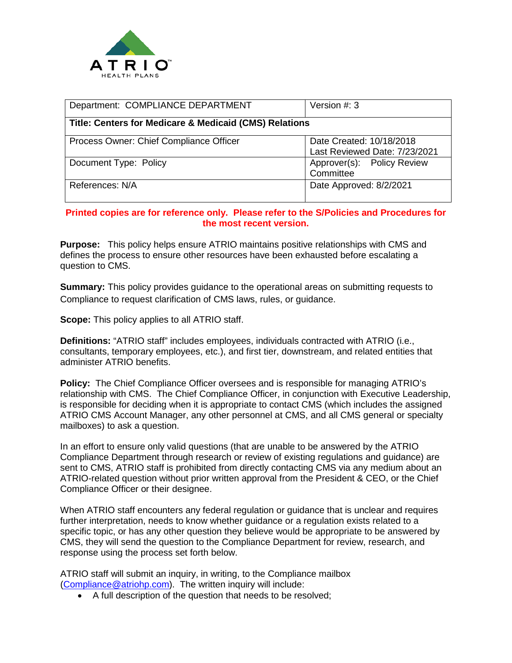

| Department: COMPLIANCE DEPARTMENT                                 | Version $#: 3$                                            |
|-------------------------------------------------------------------|-----------------------------------------------------------|
| <b>Title: Centers for Medicare &amp; Medicaid (CMS) Relations</b> |                                                           |
| Process Owner: Chief Compliance Officer                           | Date Created: 10/18/2018<br>Last Reviewed Date: 7/23/2021 |
| Document Type: Policy                                             | Approver(s): Policy Review<br>Committee                   |
| References: N/A                                                   | Date Approved: 8/2/2021                                   |

## **Printed copies are for reference only. Please refer to the S/Policies and Procedures for the most recent version.**

**Purpose:** This policy helps ensure ATRIO maintains positive relationships with CMS and defines the process to ensure other resources have been exhausted before escalating a question to CMS.

**Summary:** This policy provides guidance to the operational areas on submitting requests to Compliance to request clarification of CMS laws, rules, or guidance.

**Scope:** This policy applies to all ATRIO staff.

**Definitions:** "ATRIO staff" includes employees, individuals contracted with ATRIO (i.e., consultants, temporary employees, etc.), and first tier, downstream, and related entities that administer ATRIO benefits.

**Policy:** The Chief Compliance Officer oversees and is responsible for managing ATRIO's relationship with CMS. The Chief Compliance Officer, in conjunction with Executive Leadership, is responsible for deciding when it is appropriate to contact CMS (which includes the assigned ATRIO CMS Account Manager, any other personnel at CMS, and all CMS general or specialty mailboxes) to ask a question.

In an effort to ensure only valid questions (that are unable to be answered by the ATRIO Compliance Department through research or review of existing regulations and guidance) are sent to CMS, ATRIO staff is prohibited from directly contacting CMS via any medium about an ATRIO-related question without prior written approval from the President & CEO, or the Chief Compliance Officer or their designee.

When ATRIO staff encounters any federal regulation or guidance that is unclear and requires further interpretation, needs to know whether guidance or a regulation exists related to a specific topic, or has any other question they believe would be appropriate to be answered by CMS, they will send the question to the Compliance Department for review, research, and response using the process set forth below.

ATRIO staff will submit an inquiry, in writing, to the Compliance mailbox [\(Compliance@atriohp.com\)](mailto:Compliance@atriohp.com). The written inquiry will include:

• A full description of the question that needs to be resolved;